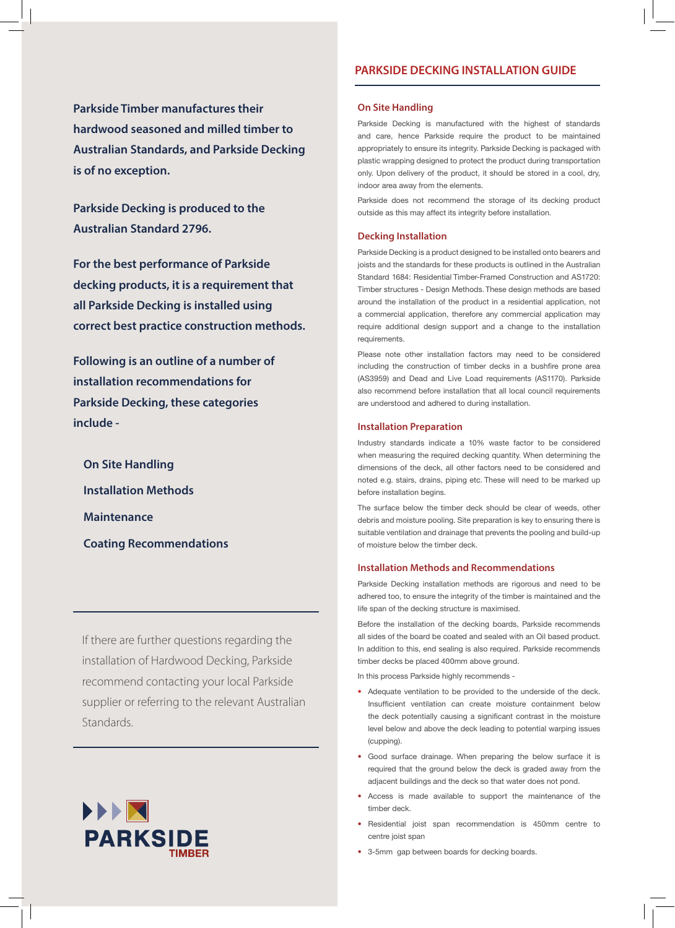**Parkside Timber manufactures their hardwood seasoned and milled timber to Australian Standards, and Parkside Decking is of no exception.** 

**Parkside Decking is produced to the Australian Standard 2796.**

**For the best performance of Parkside decking products, it is a requirement that all Parkside Decking is installed using correct best practice construction methods.** 

**Following is an outline of a number of installation recommendations for Parkside Decking, these categories include -** 

**On Site Handling Installation Methods Maintenance Coating Recommendations**

If there are further questions regarding the installation of Hardwood Decking, Parkside recommend contacting your local Parkside supplier or referring to the relevant Australian Standards.



# **PARKSIDE DECKING INSTALLATION GUIDE**

#### **On Site Handling**

Parkside Decking is manufactured with the highest of standards and care, hence Parkside require the product to be maintained appropriately to ensure its integrity. Parkside Decking is packaged with plastic wrapping designed to protect the product during transportation only. Upon delivery of the product, it should be stored in a cool, dry, indoor area away from the elements.

Parkside does not recommend the storage of its decking product outside as this may affect its integrity before installation.

## **Decking Installation**

Parkside Decking is a product designed to be installed onto bearers and joists and the standards for these products is outlined in the Australian Standard 1684: Residential Timber-Framed Construction and AS1720: Timber structures - Design Methods. These design methods are based around the installation of the product in a residential application, not a commercial application, therefore any commercial application may require additional design support and a change to the installation requirements.

Please note other installation factors may need to be considered including the construction of timber decks in a bushfire prone area (AS3959) and Dead and Live Load requirements (AS1170). Parkside also recommend before installation that all local council requirements are understood and adhered to during installation.

#### **Installation Preparation**

Industry standards indicate a 10% waste factor to be considered when measuring the required decking quantity. When determining the dimensions of the deck, all other factors need to be considered and noted e.g. stairs, drains, piping etc. These will need to be marked up before installation begins.

The surface below the timber deck should be clear of weeds, other debris and moisture pooling. Site preparation is key to ensuring there is suitable ventilation and drainage that prevents the pooling and build-up of moisture below the timber deck.

## **Installation Methods and Recommendations**

Parkside Decking installation methods are rigorous and need to be adhered too, to ensure the integrity of the timber is maintained and the life span of the decking structure is maximised.

Before the installation of the decking boards, Parkside recommends all sides of the board be coated and sealed with an Oil based product. In addition to this, end sealing is also required. Parkside recommends timber decks be placed 400mm above ground.

In this process Parkside highly recommends -

- Adequate ventilation to be provided to the underside of the deck. Insufficient ventilation can create moisture containment below the deck potentially causing a significant contrast in the moisture level below and above the deck leading to potential warping issues (cupping).
- Good surface drainage. When preparing the below surface it is required that the ground below the deck is graded away from the adjacent buildings and the deck so that water does not pond.
- Access is made available to support the maintenance of the timber deck.
- Residential joist span recommendation is 450mm centre to centre joist span
- 3-5mm gap between boards for decking boards.